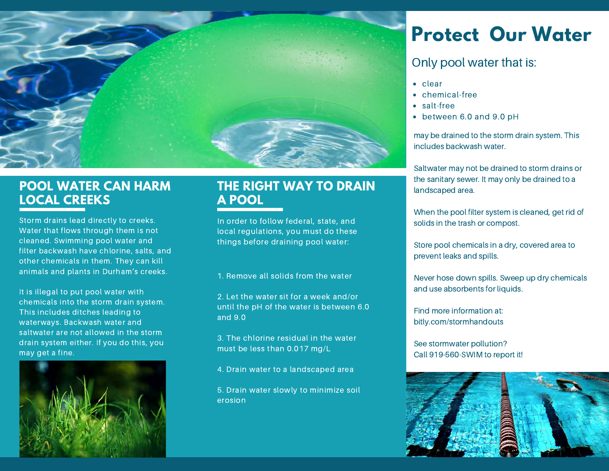

### **POOL WATER CAN HARM LOCAL CREEKS**

Storm drains lead directly to creeks. Water that flows through them is not cleaned. Swimming pool water and filter backwash have chlorine, salts, and other chemicals in them. They can kill animals and plants in Durham's creeks.

It is illegal to put pool water with chemicals into the storm drain system. This includes ditches leading to waterways. Backwash water and saltwater are not allowed in the storm drain system either. If you do this, you may get a fine.



### **THE RIGHT WAY TO DRAIN A POOL**

In order to follow federal, state, and local regulations, you must do these things before draining pool water:

#### 1. Remove all solids from the water

2. Let the water sit for a week and/or until the pH of the water is between 6.0 and 9.0

3. The chlorine residual in the water must be less than 0.017 mg/L

4. Drain water to a landscaped area

5. Drain water slowly to minimize soil erosion

# **Protect Our Water**

#### Only pool water that is:

- clear
- chemical-free
- salt-free
- between 6.0 and 9.0 pH

may be drained to the storm drain system. This includes backwash water.

Saltwater may not be drained to storm drains or the sanitary sewer. It may only be drained to a landscaped area.

When the pool filter system is cleaned, get rid of solids in the trash or compost.

Store pool chemicals in a dry, covered area to prevent leaks and spills.

Never hose down spills. Sweep up dry chemicals and use absorbents for liquids.

Find more information at: bitly.com/stormhandouts

See stormwater pollution? Call 919-560-SWIM to report it!